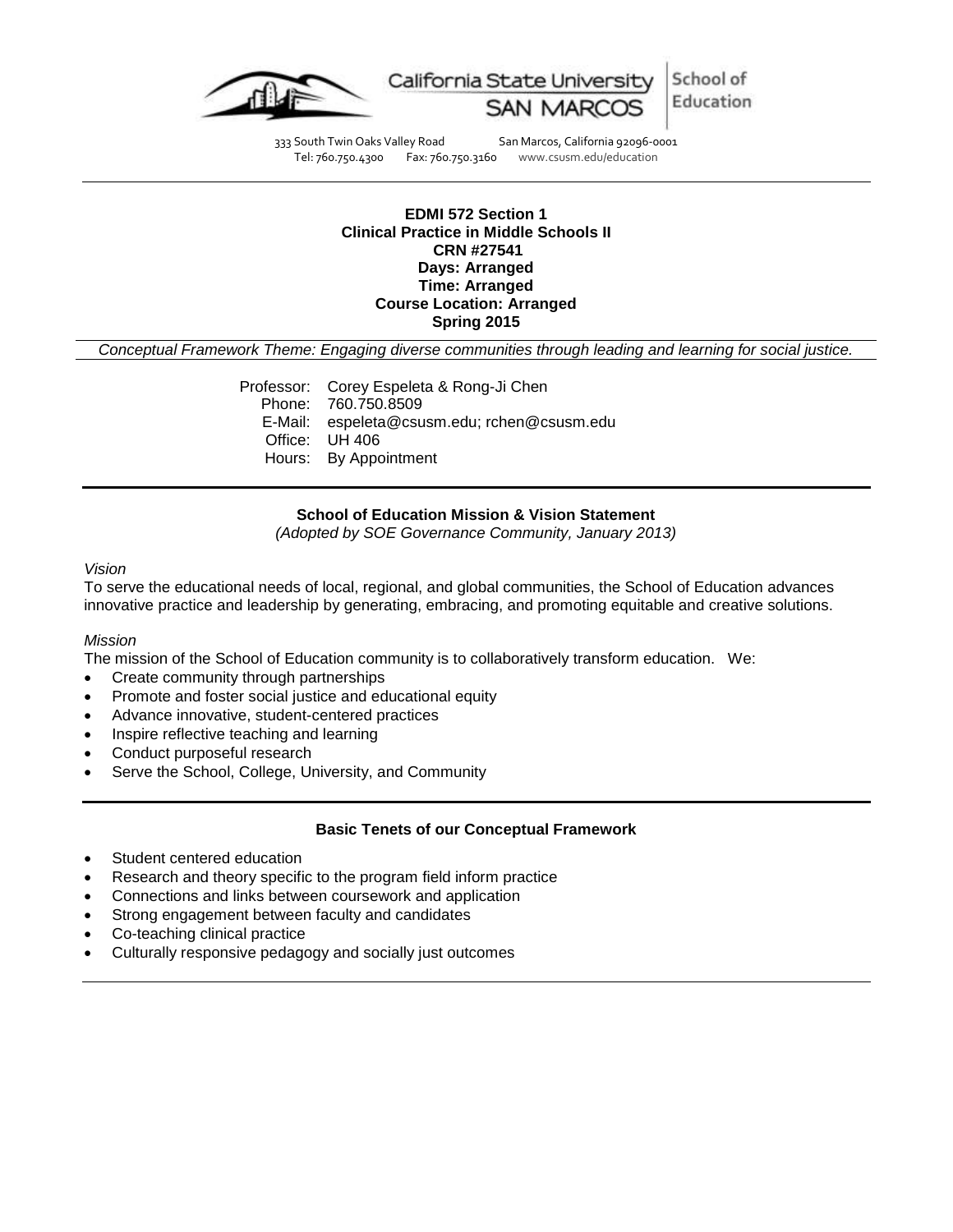

School of California State University Education

333 South Twin Oaks Valley Road San Marcos, California 92096-0001<br>Tel: 760.750.4300 Fax: 760.750.3160 www.csusm.edu/education www.csusm.edu/education

### **EDMI 572 Section 1 Clinical Practice in Middle Schools II CRN #27541 Days: Arranged Time: Arranged Course Location: Arranged Spring 2015**

*Conceptual Framework Theme: Engaging diverse communities through leading and learning for social justice.*

Professor: Corey Espeleta & Rong-Ji Chen Phone: 760.750.8509 E-Mail: espeleta@csusm.edu; rchen@csusm.edu Office: UH 406 Hours: By Appointment

### **School of Education Mission & Vision Statement**

*(Adopted by SOE Governance Community, January 2013)*

### *Vision*

To serve the educational needs of local, regional, and global communities, the School of Education advances innovative practice and leadership by generating, embracing, and promoting equitable and creative solutions.

#### *Mission*

The mission of the School of Education community is to collaboratively transform education. We:

- Create community through partnerships
- Promote and foster social justice and educational equity
- Advance innovative, student-centered practices
- Inspire reflective teaching and learning
- Conduct purposeful research
- Serve the School, College, University, and Community

#### **Basic Tenets of our Conceptual Framework**

- Student centered education
- Research and theory specific to the program field inform practice
- Connections and links between coursework and application
- Strong engagement between faculty and candidates
- Co-teaching clinical practice
- Culturally responsive pedagogy and socially just outcomes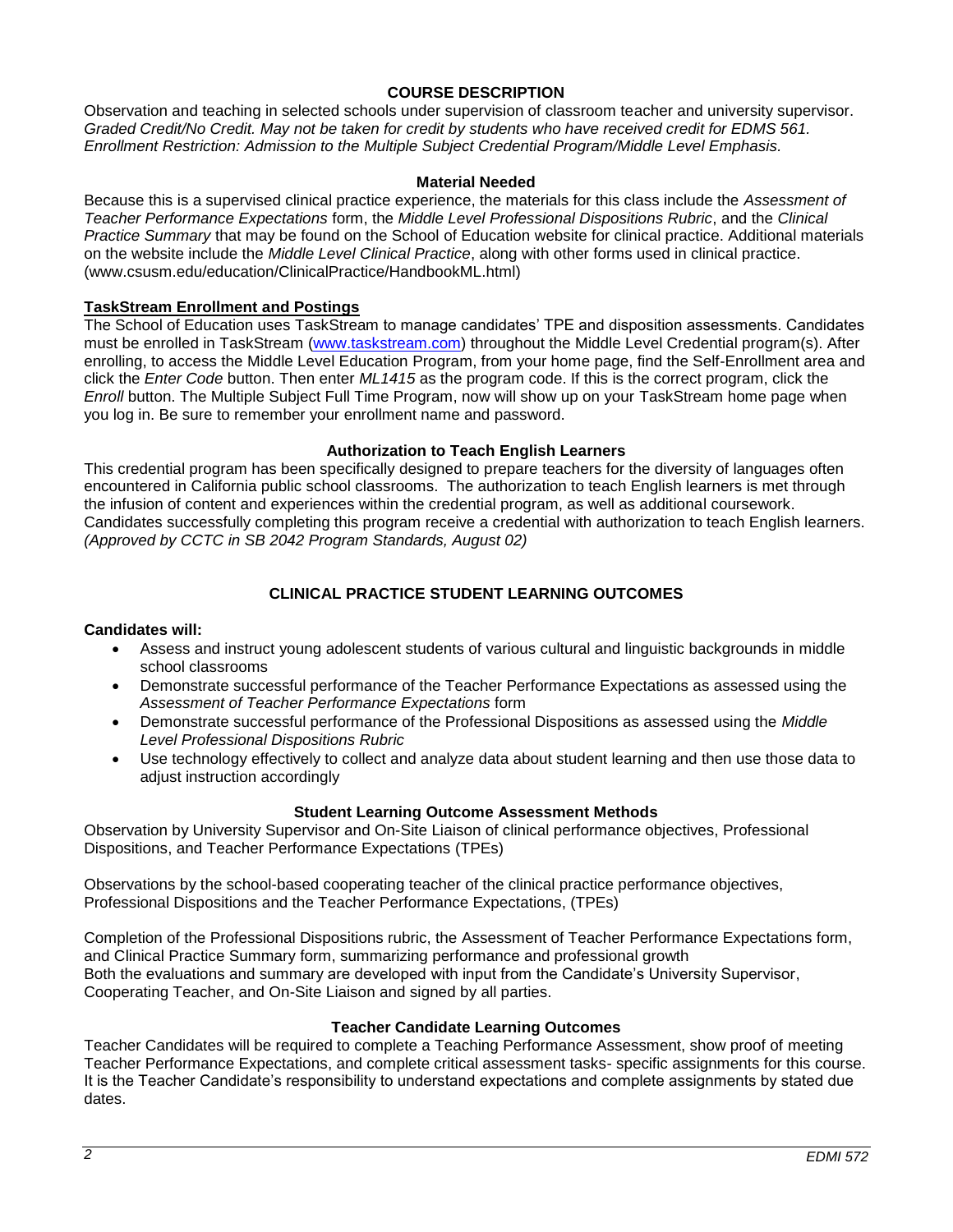# **COURSE DESCRIPTION**

Observation and teaching in selected schools under supervision of classroom teacher and university supervisor. *Graded Credit/No Credit. May not be taken for credit by students who have received credit for EDMS 561. Enrollment Restriction: Admission to the Multiple Subject Credential Program/Middle Level Emphasis.*

### **Material Needed**

Because this is a supervised clinical practice experience, the materials for this class include the *Assessment of Teacher Performance Expectations* form, the *Middle Level Professional Dispositions Rubric*, and the *Clinical Practice Summary* that may be found on the School of Education website for clinical practice. Additional materials on the website include the *Middle Level Clinical Practice*, along with other forms used in clinical practice. (www.csusm.edu/education/ClinicalPractice/HandbookML.html)

### **TaskStream Enrollment and Postings**

The School of Education uses TaskStream to manage candidates' TPE and disposition assessments. Candidates must be enrolled in TaskStream [\(www.taskstream.com\)](http://www.taskstream.com/) throughout the Middle Level Credential program(s). After enrolling, to access the Middle Level Education Program, from your home page, find the Self-Enrollment area and click the *Enter Code* button. Then enter *ML1415* as the program code. If this is the correct program, click the *Enroll* button. The Multiple Subject Full Time Program, now will show up on your TaskStream home page when you log in. Be sure to remember your enrollment name and password.

### **Authorization to Teach English Learners**

This credential program has been specifically designed to prepare teachers for the diversity of languages often encountered in California public school classrooms. The authorization to teach English learners is met through the infusion of content and experiences within the credential program, as well as additional coursework. Candidates successfully completing this program receive a credential with authorization to teach English learners. *(Approved by CCTC in SB 2042 Program Standards, August 02)*

# **CLINICAL PRACTICE STUDENT LEARNING OUTCOMES**

### **Candidates will:**

- Assess and instruct young adolescent students of various cultural and linguistic backgrounds in middle school classrooms
- Demonstrate successful performance of the Teacher Performance Expectations as assessed using the *Assessment of Teacher Performance Expectations* form
- Demonstrate successful performance of the Professional Dispositions as assessed using the *Middle Level Professional Dispositions Rubric*
- Use technology effectively to collect and analyze data about student learning and then use those data to adjust instruction accordingly

### **Student Learning Outcome Assessment Methods**

Observation by University Supervisor and On-Site Liaison of clinical performance objectives, Professional Dispositions, and Teacher Performance Expectations (TPEs)

Observations by the school-based cooperating teacher of the clinical practice performance objectives, Professional Dispositions and the Teacher Performance Expectations, (TPEs)

Completion of the Professional Dispositions rubric, the Assessment of Teacher Performance Expectations form, and Clinical Practice Summary form, summarizing performance and professional growth Both the evaluations and summary are developed with input from the Candidate's University Supervisor, Cooperating Teacher, and On-Site Liaison and signed by all parties.

### **Teacher Candidate Learning Outcomes**

Teacher Candidates will be required to complete a Teaching Performance Assessment, show proof of meeting Teacher Performance Expectations, and complete critical assessment tasks- specific assignments for this course. It is the Teacher Candidate's responsibility to understand expectations and complete assignments by stated due dates.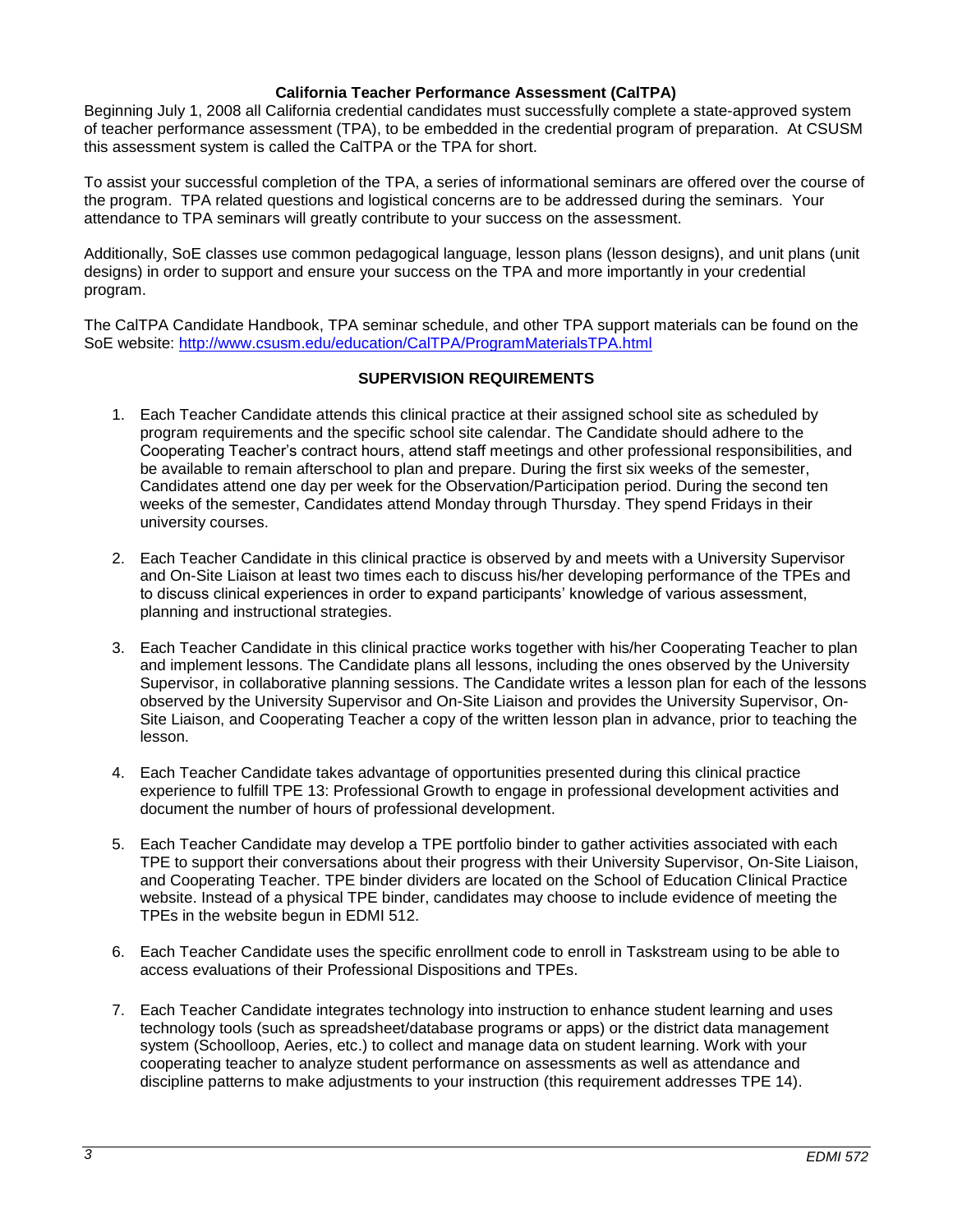### **California Teacher Performance Assessment (CalTPA)**

Beginning July 1, 2008 all California credential candidates must successfully complete a state-approved system of teacher performance assessment (TPA), to be embedded in the credential program of preparation. At CSUSM this assessment system is called the CalTPA or the TPA for short.

To assist your successful completion of the TPA, a series of informational seminars are offered over the course of the program. TPA related questions and logistical concerns are to be addressed during the seminars. Your attendance to TPA seminars will greatly contribute to your success on the assessment.

Additionally, SoE classes use common pedagogical language, lesson plans (lesson designs), and unit plans (unit designs) in order to support and ensure your success on the TPA and more importantly in your credential program.

The CalTPA Candidate Handbook, TPA seminar schedule, and other TPA support materials can be found on the SoE website:<http://www.csusm.edu/education/CalTPA/ProgramMaterialsTPA.html>

# **SUPERVISION REQUIREMENTS**

- 1. Each Teacher Candidate attends this clinical practice at their assigned school site as scheduled by program requirements and the specific school site calendar. The Candidate should adhere to the Cooperating Teacher's contract hours, attend staff meetings and other professional responsibilities, and be available to remain afterschool to plan and prepare. During the first six weeks of the semester, Candidates attend one day per week for the Observation/Participation period. During the second ten weeks of the semester, Candidates attend Monday through Thursday. They spend Fridays in their university courses.
- 2. Each Teacher Candidate in this clinical practice is observed by and meets with a University Supervisor and On-Site Liaison at least two times each to discuss his/her developing performance of the TPEs and to discuss clinical experiences in order to expand participants' knowledge of various assessment, planning and instructional strategies.
- 3. Each Teacher Candidate in this clinical practice works together with his/her Cooperating Teacher to plan and implement lessons. The Candidate plans all lessons, including the ones observed by the University Supervisor, in collaborative planning sessions. The Candidate writes a lesson plan for each of the lessons observed by the University Supervisor and On-Site Liaison and provides the University Supervisor, On-Site Liaison, and Cooperating Teacher a copy of the written lesson plan in advance, prior to teaching the lesson.
- 4. Each Teacher Candidate takes advantage of opportunities presented during this clinical practice experience to fulfill TPE 13: Professional Growth to engage in professional development activities and document the number of hours of professional development.
- 5. Each Teacher Candidate may develop a TPE portfolio binder to gather activities associated with each TPE to support their conversations about their progress with their University Supervisor, On-Site Liaison, and Cooperating Teacher. TPE binder dividers are located on the School of Education Clinical Practice website. Instead of a physical TPE binder, candidates may choose to include evidence of meeting the TPEs in the website begun in EDMI 512.
- 6. Each Teacher Candidate uses the specific enrollment code to enroll in Taskstream using to be able to access evaluations of their Professional Dispositions and TPEs.
- 7. Each Teacher Candidate integrates technology into instruction to enhance student learning and uses technology tools (such as spreadsheet/database programs or apps) or the district data management system (Schoolloop, Aeries, etc.) to collect and manage data on student learning. Work with your cooperating teacher to analyze student performance on assessments as well as attendance and discipline patterns to make adjustments to your instruction (this requirement addresses TPE 14).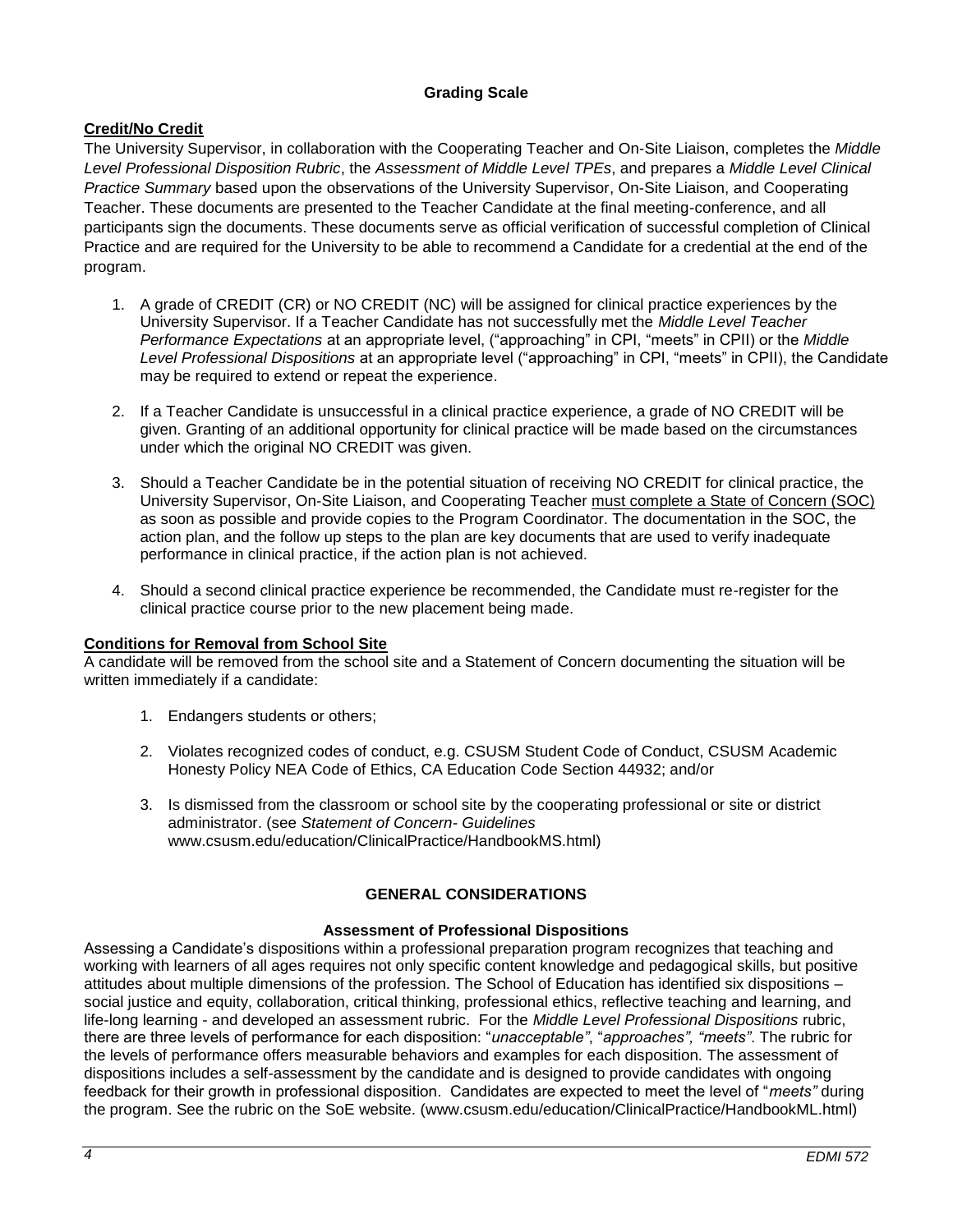# **Grading Scale**

# **Credit/No Credit**

The University Supervisor, in collaboration with the Cooperating Teacher and On-Site Liaison, completes the *Middle Level Professional Disposition Rubric*, the *Assessment of Middle Level TPEs*, and prepares a *Middle Level Clinical Practice Summary* based upon the observations of the University Supervisor, On-Site Liaison, and Cooperating Teacher. These documents are presented to the Teacher Candidate at the final meeting-conference, and all participants sign the documents. These documents serve as official verification of successful completion of Clinical Practice and are required for the University to be able to recommend a Candidate for a credential at the end of the program.

- 1. A grade of CREDIT (CR) or NO CREDIT (NC) will be assigned for clinical practice experiences by the University Supervisor. If a Teacher Candidate has not successfully met the *Middle Level Teacher Performance Expectations* at an appropriate level, ("approaching" in CPI, "meets" in CPII) or the *Middle Level Professional Dispositions* at an appropriate level ("approaching" in CPI, "meets" in CPII), the Candidate may be required to extend or repeat the experience.
- 2. If a Teacher Candidate is unsuccessful in a clinical practice experience, a grade of NO CREDIT will be given. Granting of an additional opportunity for clinical practice will be made based on the circumstances under which the original NO CREDIT was given.
- 3. Should a Teacher Candidate be in the potential situation of receiving NO CREDIT for clinical practice, the University Supervisor, On-Site Liaison, and Cooperating Teacher must complete a State of Concern (SOC) as soon as possible and provide copies to the Program Coordinator. The documentation in the SOC, the action plan, and the follow up steps to the plan are key documents that are used to verify inadequate performance in clinical practice, if the action plan is not achieved.
- 4. Should a second clinical practice experience be recommended, the Candidate must re-register for the clinical practice course prior to the new placement being made.

# **Conditions for Removal from School Site**

A candidate will be removed from the school site and a Statement of Concern documenting the situation will be written immediately if a candidate:

- 1. Endangers students or others;
- 2. Violates recognized codes of conduct, e.g. CSUSM Student Code of Conduct, CSUSM Academic Honesty Policy NEA Code of Ethics, CA Education Code Section 44932; and/or
- 3. Is dismissed from the classroom or school site by the cooperating professional or site or district administrator. (see *Statement of Concern- Guidelines* www.csusm.edu/education/ClinicalPractice/HandbookMS.html)

# **GENERAL CONSIDERATIONS**

### **Assessment of Professional Dispositions**

Assessing a Candidate's dispositions within a professional preparation program recognizes that teaching and working with learners of all ages requires not only specific content knowledge and pedagogical skills, but positive attitudes about multiple dimensions of the profession. The School of Education has identified six dispositions – social justice and equity, collaboration, critical thinking, professional ethics, reflective teaching and learning, and life-long learning - and developed an assessment rubric. For the *Middle Level Professional Dispositions* rubric, there are three levels of performance for each disposition: "*unacceptable"*, "*approaches", "meets"*. The rubric for the levels of performance offers measurable behaviors and examples for each disposition. The assessment of dispositions includes a self-assessment by the candidate and is designed to provide candidates with ongoing feedback for their growth in professional disposition. Candidates are expected to meet the level of "*meets"* during the program. See the rubric on the SoE website. (www.csusm.edu/education/ClinicalPractice/HandbookML.html)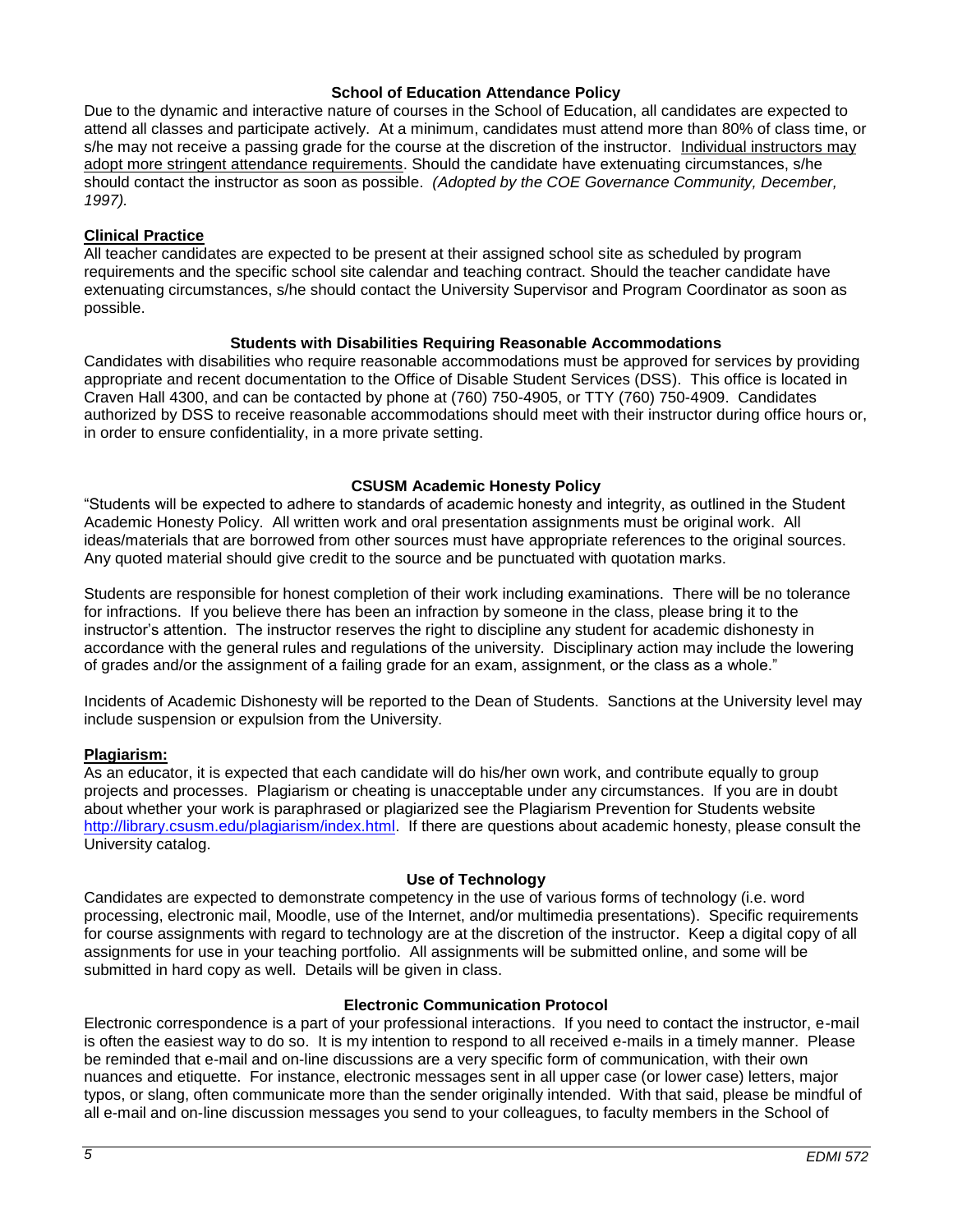### **School of Education Attendance Policy**

Due to the dynamic and interactive nature of courses in the School of Education, all candidates are expected to attend all classes and participate actively. At a minimum, candidates must attend more than 80% of class time, or s/he may not receive a passing grade for the course at the discretion of the instructor. Individual instructors may adopt more stringent attendance requirements. Should the candidate have extenuating circumstances, s/he should contact the instructor as soon as possible. *(Adopted by the COE Governance Community, December, 1997).*

### **Clinical Practice**

All teacher candidates are expected to be present at their assigned school site as scheduled by program requirements and the specific school site calendar and teaching contract. Should the teacher candidate have extenuating circumstances, s/he should contact the University Supervisor and Program Coordinator as soon as possible.

# **Students with Disabilities Requiring Reasonable Accommodations**

Candidates with disabilities who require reasonable accommodations must be approved for services by providing appropriate and recent documentation to the Office of Disable Student Services (DSS). This office is located in Craven Hall 4300, and can be contacted by phone at (760) 750-4905, or TTY (760) 750-4909. Candidates authorized by DSS to receive reasonable accommodations should meet with their instructor during office hours or, in order to ensure confidentiality, in a more private setting.

# **CSUSM Academic Honesty Policy**

"Students will be expected to adhere to standards of academic honesty and integrity, as outlined in the Student Academic Honesty Policy. All written work and oral presentation assignments must be original work. All ideas/materials that are borrowed from other sources must have appropriate references to the original sources. Any quoted material should give credit to the source and be punctuated with quotation marks.

Students are responsible for honest completion of their work including examinations. There will be no tolerance for infractions. If you believe there has been an infraction by someone in the class, please bring it to the instructor's attention. The instructor reserves the right to discipline any student for academic dishonesty in accordance with the general rules and regulations of the university. Disciplinary action may include the lowering of grades and/or the assignment of a failing grade for an exam, assignment, or the class as a whole."

Incidents of Academic Dishonesty will be reported to the Dean of Students. Sanctions at the University level may include suspension or expulsion from the University.

### **Plagiarism:**

As an educator, it is expected that each candidate will do his/her own work, and contribute equally to group projects and processes. Plagiarism or cheating is unacceptable under any circumstances. If you are in doubt about whether your work is paraphrased or plagiarized see the Plagiarism Prevention for Students website [http://library.csusm.edu/plagiarism/index.html.](http://library.csusm.edu/plagiarism/index.html) If there are questions about academic honesty, please consult the University catalog.

### **Use of Technology**

Candidates are expected to demonstrate competency in the use of various forms of technology (i.e. word processing, electronic mail, Moodle, use of the Internet, and/or multimedia presentations). Specific requirements for course assignments with regard to technology are at the discretion of the instructor. Keep a digital copy of all assignments for use in your teaching portfolio. All assignments will be submitted online, and some will be submitted in hard copy as well. Details will be given in class.

### **Electronic Communication Protocol**

Electronic correspondence is a part of your professional interactions. If you need to contact the instructor, e-mail is often the easiest way to do so. It is my intention to respond to all received e-mails in a timely manner. Please be reminded that e-mail and on-line discussions are a very specific form of communication, with their own nuances and etiquette. For instance, electronic messages sent in all upper case (or lower case) letters, major typos, or slang, often communicate more than the sender originally intended. With that said, please be mindful of all e-mail and on-line discussion messages you send to your colleagues, to faculty members in the School of